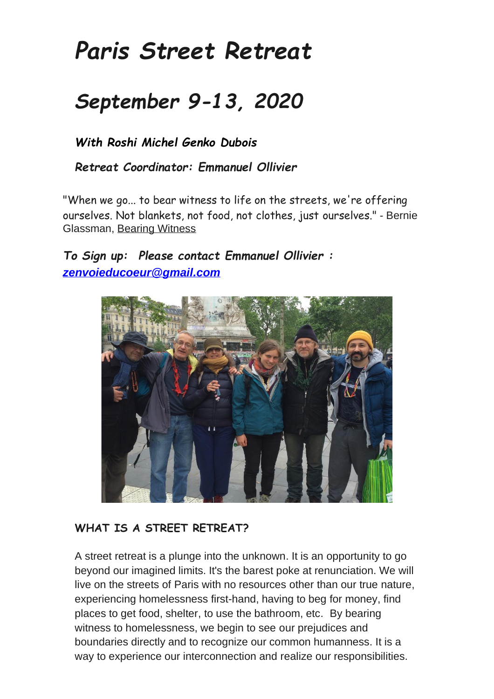# *Paris Street Retreat*

## *September 9-13, 2020*

*With Roshi Michel Genko Dubois*

*Retreat Coordinator: Emmanuel Ollivier*

"When we go... to bear witness to life on the streets, we're offering ourselves. Not blankets, not food, not clothes, just ourselves." - Bernie Glassman, Bearing Witness

#### *To Sign up: Please contact Emmanuel Ollivier : [zenvoieducoeur@gmail.com](mailto:zenvoieducoeur@gmail.com)*



#### **WHAT IS A STREET RETREAT?**

A street retreat is a plunge into the unknown. It is an opportunity to go beyond our imagined limits. It's the barest poke at renunciation. We will live on the streets of Paris with no resources other than our true nature, experiencing homelessness first-hand, having to beg for money, find places to get food, shelter, to use the bathroom, etc. By bearing witness to homelessness, we begin to see our prejudices and boundaries directly and to recognize our common humanness. It is a way to experience our interconnection and realize our responsibilities.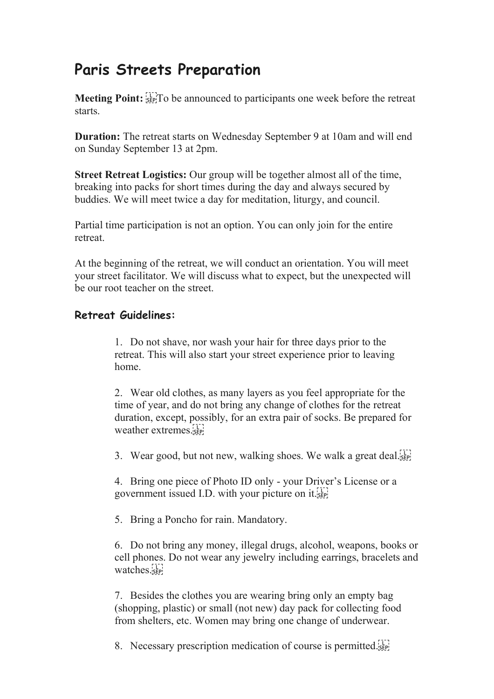### **Paris Streets Preparation**

**Meeting Point:**  $\frac{17}{356}$ To be announced to participants one week before the retreat starts.

**Duration:** The retreat starts on Wednesday September 9 at 10am and will end on Sunday September 13 at 2pm.

**Street Retreat Logistics:** Our group will be together almost all of the time, breaking into packs for short times during the day and always secured by buddies. We will meet twice a day for meditation, liturgy, and council.

Partial time participation is not an option. You can only join for the entire retreat.

At the beginning of the retreat, we will conduct an orientation. You will meet your street facilitator. We will discuss what to expect, but the unexpected will be our root teacher on the street.

#### **Retreat Guidelines:**

1. Do not shave, nor wash your hair for three days prior to the retreat. This will also start your street experience prior to leaving home.

2. Wear old clothes, as many layers as you feel appropriate for the time of year, and do not bring any change of clothes for the retreat duration, except, possibly, for an extra pair of socks. Be prepared for weather extremes.

3. Wear good, but not new, walking shoes. We walk a great deal.

4. Bring one piece of Photo ID only - your Driver's License or a government issued I.D. with your picture on it.

5. Bring a Poncho for rain. Mandatory.

6. Do not bring any money, illegal drugs, alcohol, weapons, books or cell phones. Do not wear any jewelry including earrings, bracelets and watches.<sub>sep</sub>

7. Besides the clothes you are wearing bring only an empty bag (shopping, plastic) or small (not new) day pack for collecting food from shelters, etc. Women may bring one change of underwear.

8. Necessary prescription medication of course is permitted.